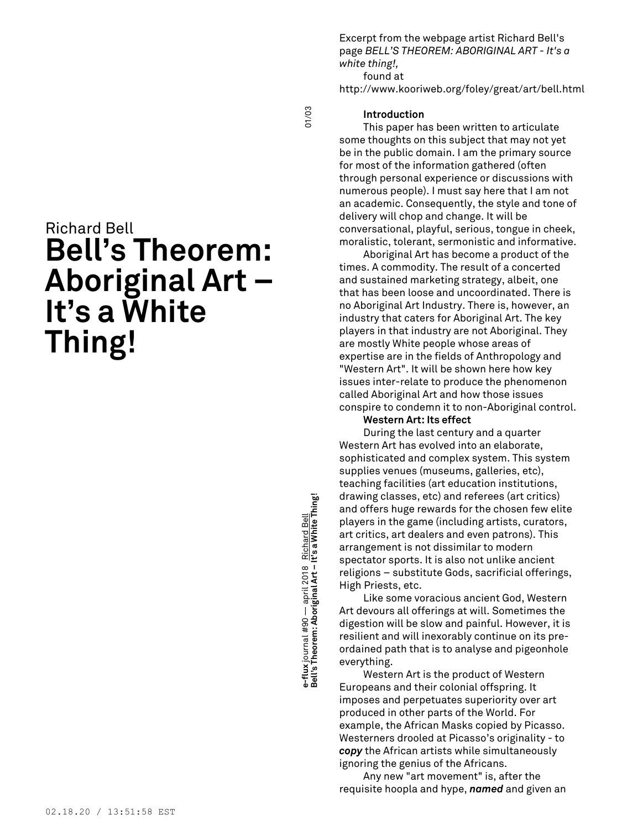Excerpt from the webpage artist Richard Bell's page *BELL'S THEOREM: ABORIGINAL ART - It's a white thing!,*

found at

http://www.kooriweb.org/foley/great/art/bell.html

01/03

## **Introduction**

This paper has been written to articulate some thoughts on this subject that may not yet be in the public domain. I am the primary source for most of the information gathered (often through personal experience or discussions with numerous people). I must say here that I am not an academic. Consequently, the style and tone of delivery will chop and change. It will be conversational, playful, serious, tongue in cheek, moralistic, tolerant, sermonistic and informative.

Aboriginal Art has become a product of the times. A commodity. The result of a concerted and sustained marketing strategy, albeit, one that has been loose and uncoordinated. There is no Aboriginal Art Industry. There is, however, an industry that caters for Aboriginal Art. The key players in that industry are not Aboriginal. They are mostly White people whose areas of expertise are in the fields of Anthropology and "Western Art". It will be shown here how key issues inter-relate to produce the phenomenon called Aboriginal Art and how those issues conspire to condemn it to non-Aboriginal control.

### **Western Art: Its effect**

During the last century and a quarter Western Art has evolved into an elaborate, sophisticated and complex system. This system supplies venues (museums, galleries, etc), teaching facilities (art education institutions, drawing classes, etc) and referees (art critics) and offers huge rewards for the chosen few elite players in the game (including artists, curators, art critics, art dealers and even patrons). This arrangement is not dissimilar to modern spectator sports. It is also not unlike ancient religions – substitute Gods, sacrificial offerings, High Priests, etc.

Like some voracious ancient God, Western Art devours all offerings at will. Sometimes the digestion will be slow and painful. However, it is resilient and will inexorably continue on its preordained path that is to analyse and pigeonhole everything.

Western Art is the product of Western Europeans and their colonial offspring. It imposes and perpetuates superiority over art produced in other parts of the World. For example, the African Masks copied by Picasso. Westerners drooled at Picasso's originality - to *copy* the African artists while simultaneously ignoring the genius of the Africans.

Any new "art movement" is, after the requisite hoopla and hype, *named* and given an

# Richard Bell **Bell's Theorem: Aboriginal Art – It's a White Thing!**

**Bell's Theorem: Aboriginal Art – It's a White Thing!** 01/03 e-flux journal #90 — april 2018 <u>Richard Bell</u><br>Bell's Theorem: Aboriginal Art – It's a White Thing! **e-flux** journal #90 — april 2018 Richard Bell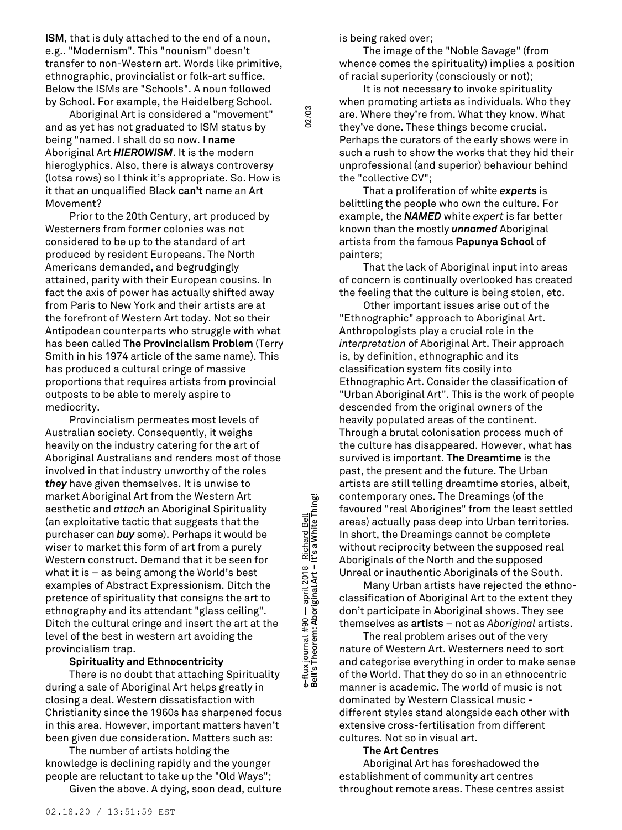**ISM**, that is duly attached to the end of a noun, e.g.. "Modernism". This "nounism" doesn't transfer to non-Western art. Words like primitive, ethnographic, provincialist or folk-art suffice. Below the ISMs are "Schools". A noun followed by School. For example, the Heidelberg School.

Aboriginal Art is considered a "movement" and as yet has not graduated to ISM status by being "named. I shall do so now. I **name** Aboriginal Art *HIEROWISM*. It is the modern hieroglyphics. Also, there is always controversy (lotsa rows) so I think it's appropriate. So. How is it that an unqualified Black **can't** name an Art Movement?

Prior to the 20th Century, art produced by Westerners from former colonies was not considered to be up to the standard of art produced by resident Europeans. The North Americans demanded, and begrudgingly attained, parity with their European cousins. In fact the axis of power has actually shifted away from Paris to New York and their artists are at the forefront of Western Art today. Not so their Antipodean counterparts who struggle with what has been called **The Provincialism Problem** (Terry Smith in his 1974 article of the same name). This has produced a cultural cringe of massive proportions that requires artists from provincial outposts to be able to merely aspire to mediocrity.

Provincialism permeates most levels of Australian society. Consequently, it weighs heavily on the industry catering for the art of Aboriginal Australians and renders most of those involved in that industry unworthy of the roles *they* have given themselves. It is unwise to market Aboriginal Art from the Western Art aesthetic and *attach* an Aboriginal Spirituality (an exploitative tactic that suggests that the purchaser can *buy* some). Perhaps it would be wiser to market this form of art from a purely Western construct. Demand that it be seen for what it is – as being among the World's best examples of Abstract Expressionism. Ditch the pretence of spirituality that consigns the art to ethnography and its attendant "glass ceiling". Ditch the cultural cringe and insert the art at the level of the best in western art avoiding the provincialism trap.

### **Spirituality and Ethnocentricity**

There is no doubt that attaching Spirituality during a sale of Aboriginal Art helps greatly in closing a deal. Western dissatisfaction with Christianity since the 1960s has sharpened focus in this area. However, important matters haven't been given due consideration. Matters such as:

The number of artists holding the knowledge is declining rapidly and the younger people are reluctant to take up the "Old Ways";

Given the above. A dying, soon dead, culture

is being raked over;

02/03

The image of the "Noble Savage" (from whence comes the spirituality) implies a position of racial superiority (consciously or not);

It is not necessary to invoke spirituality when promoting artists as individuals. Who they are. Where they're from. What they know. What they've done. These things become crucial. Perhaps the curators of the early shows were in such a rush to show the works that they hid their unprofessional (and superior) behaviour behind the "collective CV";

That a proliferation of white *experts* is belittling the people who own the culture. For example, the *NAMED* white *expert* is far better known than the mostly *unnamed* Aboriginal artists from the famous **Papunya School** of painters;

That the lack of Aboriginal input into areas of concern is continually overlooked has created the feeling that the culture is being stolen, etc.

Other important issues arise out of the "Ethnographic" approach to Aboriginal Art. Anthropologists play a crucial role in the *interpretation* of Aboriginal Art. Their approach is, by definition, ethnographic and its classification system fits cosily into Ethnographic Art. Consider the classification of "Urban Aboriginal Art". This is the work of people descended from the original owners of the heavily populated areas of the continent. Through a brutal colonisation process much of the culture has disappeared. However, what has survived is important. **The Dreamtime** is the past, the present and the future. The Urban artists are still telling dreamtime stories, albeit, contemporary ones. The Dreamings (of the favoured "real Aborigines" from the least settled areas) actually pass deep into Urban territories. In short, the Dreamings cannot be complete without reciprocity between the supposed real Aboriginals of the North and the supposed Unreal or inauthentic Aboriginals of the South.

Many Urban artists have rejected the ethnoclassification of Aboriginal Art to the extent they don't participate in Aboriginal shows. They see themselves as **artists** – not as *Aboriginal* artists.

The real problem arises out of the very nature of Western Art. Westerners need to sort and categorise everything in order to make sense of the World. That they do so in an ethnocentric manner is academic. The world of music is not dominated by Western Classical music different styles stand alongside each other with extensive cross-fertilisation from different cultures. Not so in visual art.

#### **The Art Centres**

Aboriginal Art has foreshadowed the establishment of community art centres throughout remote areas. These centres assist

**Bell's Theorem: Aboriginal Art – It's a White Thing!** 02/03 Richard Bell<br>It's a White Thing! **e-flux** journal #90 — april 2018 Richard Bell e-flux journal #90 — april 2018<br>Bell's Theorem: Aboriginal Art –